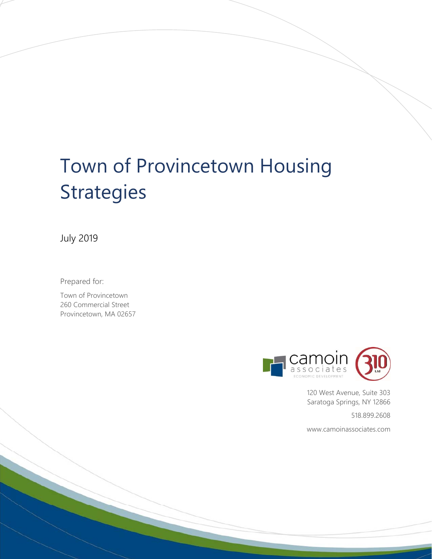# Town of Provincetown Housing **Strategies**

July 2019

Prepared for:

Town of Provincetown 260 Commercial Street Provincetown, MA 02657



120 West Avenue, Suite 303 Saratoga Springs, NY 12866

518.899.2608

www.camoinassociates.com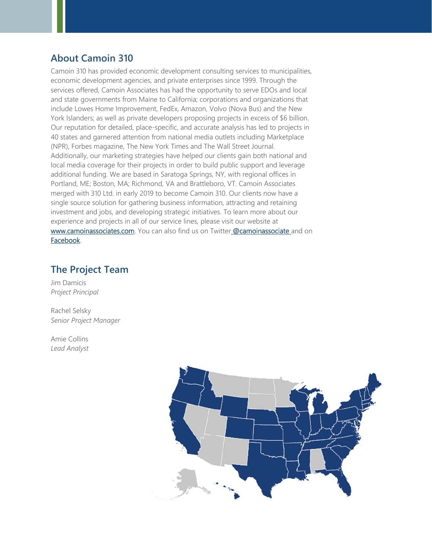# **About Camoin 310**

Camoin 310 has provided economic development consulting services to municipalities, economic development agencies, and private enterprises since 1999. Through the services offered, Camoin Associates has had the opportunity to serve EDOs and local and state governments from Maine to California; corporations and organizations that include Lowes Home Improvement, FedEx, Amazon, Volvo (Nova Bus) and the New York Islanders; as well as private developers proposing projects in excess of \$6 billion. Our reputation for detailed, place-specific, and accurate analysis has led to projects in 40 states and garnered attention from national media outlets including Marketplace (NPR), Forbes magazine, The New York Times and The Wall Street Journal. Additionally, our marketing strategies have helped our clients gain both national and local media coverage for their projects in order to build public support and leverage additional funding. We are based in Saratoga Springs, NY, with regional offices in Portland, ME; Boston, MA; Richmond, VA and Brattleboro, VT. Camoin Associates merged with 310 Ltd. in early 2019 to become Camoin 310. Our clients now have a single source solution for gathering business information, attracting and retaining investment and jobs, and developing strategic initiatives. To learn more about our experience and projects in all of our service lines, please visit our website at www.camoinassociates.com. You can also find us on Twitter @camoinassociate and on Facebook.

# **The Project Team**

Jim Damicis *Project Principal* 

Rachel Selsky *Senior Project Manager* 

Amie Collins *Lead Analyst* 

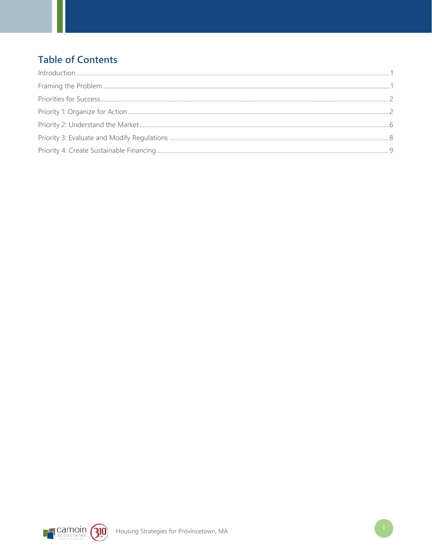# **Table of Contents**

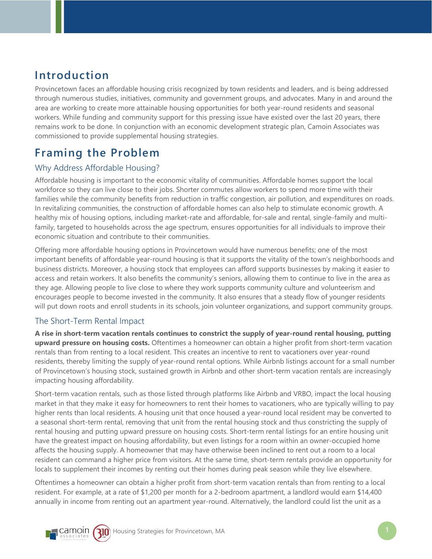# **Introduction**

Provincetown faces an affordable housing crisis recognized by town residents and leaders, and is being addressed through numerous studies, initiatives, community and government groups, and advocates. Many in and around the area are working to create more attainable housing opportunities for both year-round residents and seasonal workers. While funding and community support for this pressing issue have existed over the last 20 years, there remains work to be done. In conjunction with an economic development strategic plan, Camoin Associates was commissioned to provide supplemental housing strategies.

# **Framing the Problem**

# Why Address Affordable Housing?

Affordable housing is important to the economic vitality of communities. Affordable homes support the local workforce so they can live close to their jobs. Shorter commutes allow workers to spend more time with their families while the community benefits from reduction in traffic congestion, air pollution, and expenditures on roads. In revitalizing communities, the construction of affordable homes can also help to stimulate economic growth. A healthy mix of housing options, including market-rate and affordable, for-sale and rental, single-family and multifamily, targeted to households across the age spectrum, ensures opportunities for all individuals to improve their economic situation and contribute to their communities.

Offering more affordable housing options in Provincetown would have numerous benefits; one of the most important benefits of affordable year-round housing is that it supports the vitality of the town's neighborhoods and business districts. Moreover, a housing stock that employees can afford supports businesses by making it easier to access and retain workers. It also benefits the community's seniors, allowing them to continue to live in the area as they age. Allowing people to live close to where they work supports community culture and volunteerism and encourages people to become invested in the community. It also ensures that a steady flow of younger residents will put down roots and enroll students in its schools, join volunteer organizations, and support community groups.

# The Short-Term Rental Impact

**A rise in short-term vacation rentals continues to constrict the supply of year-round rental housing, putting upward pressure on housing costs.** Oftentimes a homeowner can obtain a higher profit from short-term vacation rentals than from renting to a local resident. This creates an incentive to rent to vacationers over year-round residents, thereby limiting the supply of year-round rental options. While Airbnb listings account for a small number of Provincetown's housing stock, sustained growth in Airbnb and other short-term vacation rentals are increasingly impacting housing affordability.

Short-term vacation rentals, such as those listed through platforms like Airbnb and VRBO, impact the local housing market in that they make it easy for homeowners to rent their homes to vacationers, who are typically willing to pay higher rents than local residents. A housing unit that once housed a year-round local resident may be converted to a seasonal short-term rental, removing that unit from the rental housing stock and thus constricting the supply of rental housing and putting upward pressure on housing costs. Short-term rental listings for an entire housing unit have the greatest impact on housing affordability, but even listings for a room within an owner-occupied home affects the housing supply. A homeowner that may have otherwise been inclined to rent out a room to a local resident can command a higher price from visitors. At the same time, short-term rentals provide an opportunity for locals to supplement their incomes by renting out their homes during peak season while they live elsewhere.

Oftentimes a homeowner can obtain a higher profit from short-term vacation rentals than from renting to a local resident. For example, at a rate of \$1,200 per month for a 2-bedroom apartment, a landlord would earn \$14,400 annually in income from renting out an apartment year-round. Alternatively, the landlord could list the unit as a

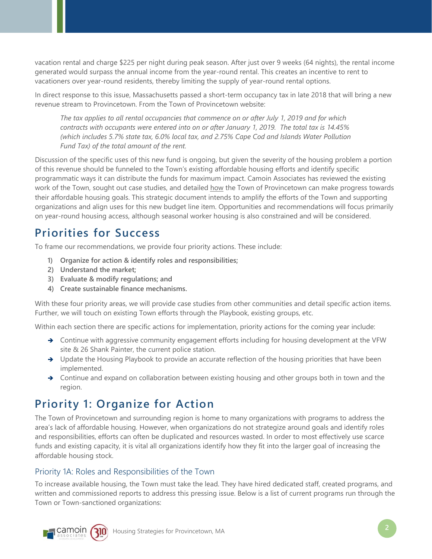vacation rental and charge \$225 per night during peak season. After just over 9 weeks (64 nights), the rental income generated would surpass the annual income from the year-round rental. This creates an incentive to rent to vacationers over year-round residents, thereby limiting the supply of year-round rental options.

In direct response to this issue, Massachusetts passed a short-term occupancy tax in late 2018 that will bring a new revenue stream to Provincetown. From the Town of Provincetown website:

*The tax applies to all rental occupancies that commence on or after July 1, 2019 and for which contracts with occupants were entered into on or after January 1, 2019. The total tax is 14.45% (which includes 5.7% state tax, 6.0% local tax, and 2.75% Cape Cod and Islands Water Pollution Fund Tax) of the total amount of the rent.* 

Discussion of the specific uses of this new fund is ongoing, but given the severity of the housing problem a portion of this revenue should be funneled to the Town's existing affordable housing efforts and identify specific programmatic ways it can distribute the funds for maximum impact. Camoin Associates has reviewed the existing work of the Town, sought out case studies, and detailed how the Town of Provincetown can make progress towards their affordable housing goals. This strategic document intends to amplify the efforts of the Town and supporting organizations and align uses for this new budget line item. Opportunities and recommendations will focus primarily on year-round housing access, although seasonal worker housing is also constrained and will be considered.

# **Priorities for Success**

To frame our recommendations, we provide four priority actions. These include:

- **1) Organize for action & identify roles and responsibilities;**
- **2) Understand the market;**
- **3) Evaluate & modify regulations; and**
- **4) Create sustainable finance mechanisms.**

With these four priority areas, we will provide case studies from other communities and detail specific action items. Further, we will touch on existing Town efforts through the Playbook, existing groups, etc.

Within each section there are specific actions for implementation, priority actions for the coming year include:

- → Continue with aggressive community engagement efforts including for housing development at the VFW site & 26 Shank Painter, the current police station.
- → Update the Housing Playbook to provide an accurate reflection of the housing priorities that have been implemented.
- $\rightarrow$  Continue and expand on collaboration between existing housing and other groups both in town and the region.

# **Priority 1: Organize for Action**

The Town of Provincetown and surrounding region is home to many organizations with programs to address the area's lack of affordable housing. However, when organizations do not strategize around goals and identify roles and responsibilities, efforts can often be duplicated and resources wasted. In order to most effectively use scarce funds and existing capacity, it is vital all organizations identify how they fit into the larger goal of increasing the affordable housing stock.

# Priority 1A: Roles and Responsibilities of the Town

To increase available housing, the Town must take the lead. They have hired dedicated staff, created programs, and written and commissioned reports to address this pressing issue. Below is a list of current programs run through the Town or Town-sanctioned organizations:



**Camoin (310)** Housing Strategies for Provincetown, MA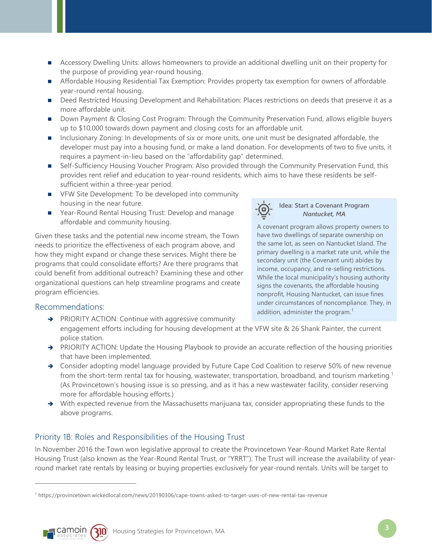- **Accessory Dwelling Units: allows homeowners to provide an additional dwelling unit on their property for** the purpose of providing year-round housing.
- Affordable Housing Residential Tax Exemption: Provides property tax exemption for owners of affordable year-round rental housing.
- Deed Restricted Housing Development and Rehabilitation: Places restrictions on deeds that preserve it as a more affordable unit.
- Down Payment & Closing Cost Program: Through the Community Preservation Fund, allows eligible buyers up to \$10,000 towards down payment and closing costs for an affordable unit.
- Inclusionary Zoning: In developments of six or more units, one unit must be designated affordable, the developer must pay into a housing fund, or make a land donation. For developments of two to five units, it requires a payment-in-lieu based on the "affordability gap" determined.
- Self-Sufficiency Housing Voucher Program: Also provided through the Community Preservation Fund, this provides rent relief and education to year-round residents, which aims to have these residents be selfsufficient within a three-year period.
- **F** VFW Site Development: To be developed into community housing in the near future.
- Year-Round Rental Housing Trust: Develop and manage affordable and community housing.

Given these tasks and the potential new income stream, the Town needs to prioritize the effectiveness of each program above, and how they might expand or change these services. Might there be programs that could consolidate efforts? Are there programs that could benefit from additional outreach? Examining these and other organizational questions can help streamline programs and create program efficiencies.

# Recommendations:

- → PRIORITY ACTION: Continue with aggressive community engagement efforts including for housing development at the VFW site & 26 Shank Painter, the current police station.
- → PRIORITY ACTION: Update the Housing Playbook to provide an accurate reflection of the housing priorities that have been implemented.
- → Consider adopting model language provided by Future Cape Cod Coalition to reserve 50% of new revenue from the short-term rental tax for housing, wastewater, transportation, broadband, and tourism marketing.<sup>1</sup> (As Provincetown's housing issue is so pressing, and as it has a new wastewater facility, consider reserving more for affordable housing efforts.)
- → With expected revenue from the Massachusetts marijuana tax, consider appropriating these funds to the above programs.

# Priority 1B: Roles and Responsibilities of the Housing Trust

In November 2016 the Town won legislative approval to create the Provincetown Year-Round Market Rate Rental Housing Trust (also known as the Year-Round Rental Trust, or "YRRT"). The Trust will increase the availability of yearround market rate rentals by leasing or buying properties exclusively for year-round rentals. Units will be target to

<sup>1</sup> https://provincetown.wickedlocal.com/news/20190306/cape-towns-asked-to-target-uses-of-new-rental-tax-revenue



 $\overline{a}$ 



#### **Idea: Start a Covenant Program**  *Nantucket, MA*

A covenant program allows property owners to have two dwellings of separate ownership on the same lot, as seen on Nantucket Island. The primary dwelling is a market rate unit, while the secondary unit (the Covenant unit) abides by income, occupancy, and re-selling restrictions. While the local municipality's housing authority signs the covenants, the affordable housing nonprofit, Housing Nantucket, can issue fines under circumstances of noncompliance. They, in addition, administer the program.<sup>1</sup>

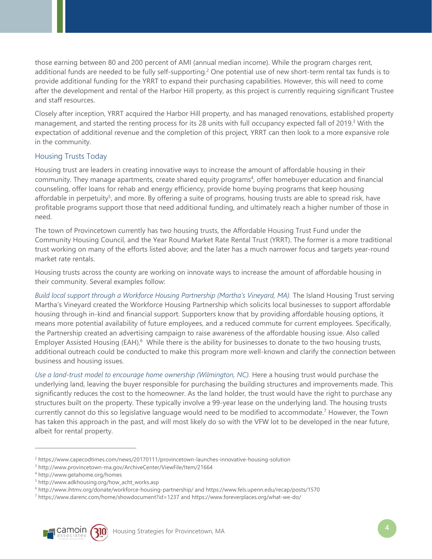those earning between 80 and 200 percent of AMI (annual median income). While the program charges rent, additional funds are needed to be fully self-supporting.2 One potential use of new short-term rental tax funds is to provide additional funding for the YRRT to expand their purchasing capabilities. However, this will need to come after the development and rental of the Harbor Hill property, as this project is currently requiring significant Trustee and staff resources.

Closely after inception, YRRT acquired the Harbor Hill property, and has managed renovations, established property management, and started the renting process for its 28 units with full occupancy expected fall of 2019.<sup>3</sup> With the expectation of additional revenue and the completion of this project, YRRT can then look to a more expansive role in the community.

### Housing Trusts Today

Housing trust are leaders in creating innovative ways to increase the amount of affordable housing in their community. They manage apartments, create shared equity programs<sup>4</sup>, offer homebuyer education and financial counseling, offer loans for rehab and energy efficiency, provide home buying programs that keep housing affordable in perpetuity<sup>5</sup>, and more. By offering a suite of programs, housing trusts are able to spread risk, have profitable programs support those that need additional funding, and ultimately reach a higher number of those in need.

The town of Provincetown currently has two housing trusts, the Affordable Housing Trust Fund under the Community Housing Council, and the Year Round Market Rate Rental Trust (YRRT). The former is a more traditional trust working on many of the efforts listed above; and the later has a much narrower focus and targets year-round market rate rentals.

Housing trusts across the county are working on innovate ways to increase the amount of affordable housing in their community. Several examples follow:

*Build local support through a Workforce Housing Partnership (Martha's Vineyard, MA).* The Island Housing Trust serving Martha's Vineyard created the Workforce Housing Partnership which solicits local businesses to support affordable housing through in-kind and financial support. Supporters know that by providing affordable housing options, it means more potential availability of future employees, and a reduced commute for current employees. Specifically, the Partnership created an advertising campaign to raise awareness of the affordable housing issue. Also called Employer Assisted Housing (EAH).<sup>6</sup> While there is the ability for businesses to donate to the two housing trusts, additional outreach could be conducted to make this program more well-known and clarify the connection between business and housing issues.

*Use a land-trust model to encourage home ownership (Wilmington, NC).* Here a housing trust would purchase the underlying land, leaving the buyer responsible for purchasing the building structures and improvements made. This significantly reduces the cost to the homeowner. As the land holder, the trust would have the right to purchase any structures built on the property. These typically involve a 99-year lease on the underlying land. The housing trusts currently cannot do this so legislative language would need to be modified to accommodate.7 However, the Town has taken this approach in the past, and will most likely do so with the VFW lot to be developed in the near future, albeit for rental property.

 $\overline{a}$ 

<sup>&</sup>lt;sup>7</sup> https://www.darenc.com/home/showdocument?id=1237 and https://www.foreverplaces.org/what-we-do/



<sup>&</sup>lt;sup>2</sup> https://www.capecodtimes.com/news/20170111/provincetown-launches-innovative-housing-solution<br><sup>3</sup> http://www.nrovincetown-ma.gov/ArchiveCenter/ViewEile/Item/21664

http://www.provincetown-ma.gov/ArchiveCenter/ViewFile/Item/21664 4

http://www.getahome.org/homes

<sup>5</sup> http://www.adkhousing.org/how\_acht\_works.asp

<sup>&</sup>lt;sup>6</sup> http://www.ihtmv.org/donate/workforce-housing-partnership/ and https://www.fels.upenn.edu/recap/posts/1570<br><sup>7</sup> https://www.darens.com/home/showdocument?id=1237 and https://www.foreverplaces.org/what-we-do/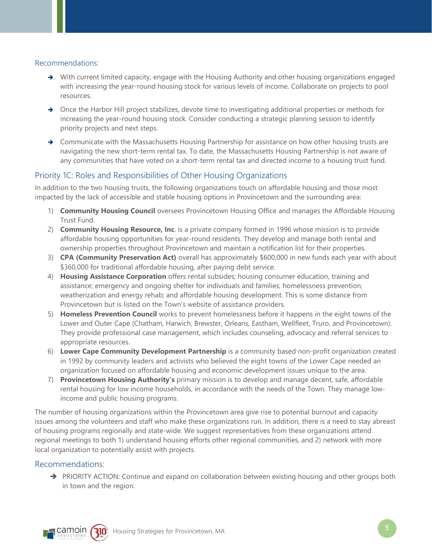#### Recommendations:

- → With current limited capacity, engage with the Housing Authority and other housing organizations engaged with increasing the year-round housing stock for various levels of income. Collaborate on projects to pool resources.
- → Once the Harbor Hill project stabilizes, devote time to investigating additional properties or methods for increasing the year-round housing stock. Consider conducting a strategic planning session to identify priority projects and next steps.
- $\rightarrow$  Communicate with the Massachusetts Housing Partnership for assistance on how other housing trusts are navigating the new short-term rental tax. To date, the Massachusetts Housing Partnership is not aware of any communities that have voted on a short-term rental tax and directed income to a housing trust fund.

### Priority 1C: Roles and Responsibilities of Other Housing Organizations

In addition to the two housing trusts, the following organizations touch on affordable housing and those most impacted by the lack of accessible and stable housing options in Provincetown and the surrounding area:

- 1) **Community Housing Council** oversees Provincetown Housing Office and manages the Affordable Housing Trust Fund.
- 2) **Community Housing Resource, Inc**. is a private company formed in 1996 whose mission is to provide affordable housing opportunities for year-round residents. They develop and manage both rental and ownership properties throughout Provincetown and maintain a notification list for their properties.
- 3) **CPA (Community Preservation Act)** overall has approximately \$600,000 in new funds each year with about \$360,000 for traditional affordable housing, after paying debt service.
- 4) **Housing Assistance Corporation** offers rental subsides; housing consumer education, training and assistance; emergency and ongoing shelter for individuals and families; homelessness prevention; weatherization and energy rehab; and affordable housing development. This is some distance from Provincetown but is listed on the Town's website of assistance providers.
- 5) **Homeless Prevention Council** works to prevent homelessness before it happens in the eight towns of the Lower and Outer Cape (Chatham, Harwich, Brewster, Orleans, Eastham, Wellfleet, Truro, and Provincetown). They provide professional case management, which includes counseling, advocacy and referral services to appropriate resources.
- 6) **Lower Cape Community Development Partnership** is a community based non-profit organization created in 1992 by community leaders and activists who believed the eight towns of the Lower Cape needed an organization focused on affordable housing and economic development issues unique to the area.
- 7) **Provincetown Housing Authority's** primary mission is to develop and manage decent, safe, affordable rental housing for low income households, in accordance with the needs of the Town. They manage lowincome and public housing programs.

The number of housing organizations within the Provincetown area give rise to potential burnout and capacity issues among the volunteers and staff who make these organizations run. In addition, there is a need to stay abreast of housing programs regionally and state-wide. We suggest representatives from these organizations attend regional meetings to both 1) understand housing efforts other regional communities, and 2) network with more local organization to potentially assist with projects.

### Recommendations:

→ PRIORITY ACTION: Continue and expand on collaboration between existing housing and other groups both in town and the region.



**Camoin (310)** Housing Strategies for Provincetown, MA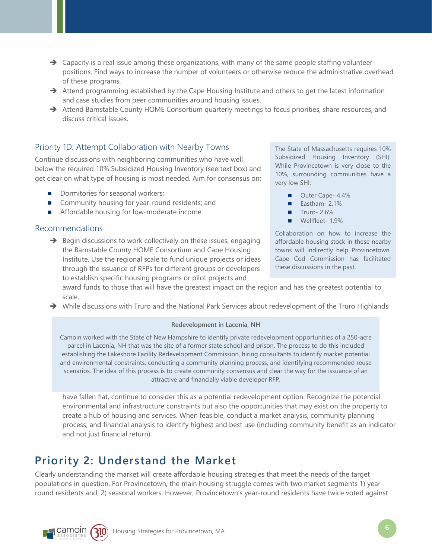- $\rightarrow$  Capacity is a real issue among these organizations, with many of the same people staffing volunteer positions. Find ways to increase the number of volunteers or otherwise reduce the administrative overhead of these programs.
- $\rightarrow$  Attend programming established by the Cape Housing Institute and others to get the latest information and case studies from peer communities around housing issues.
- → Attend Barnstable County HOME Consortium quarterly meetings to focus priorities, share resources, and discuss critical issues.

# Priority 1D: Attempt Collaboration with Nearby Towns

Continue discussions with neighboring communities who have well below the required 10% Subsidized Housing Inventory (see text box) and get clear on what type of housing is most needed. Aim for consensus on:

- Dormitories for seasonal workers;
- Community housing for year-round residents; and
- Affordable housing for low-moderate income.

# Recommendations

 $\rightarrow$  Begin discussions to work collectively on these issues, engaging the Barnstable County HOME Consortium and Cape Housing Institute. Use the regional scale to fund unique projects or ideas through the issuance of RFPs for different groups or developers to establish specific housing programs or pilot projects and

The State of Massachusetts requires 10% Subsidized Housing Inventory (SHI). While Provincetown is very close to the 10%, surrounding communities have a very low SHI:

- Outer Cape- 4.4%
- $\blacksquare$  Eastham- 2.1%
- $\blacksquare$  Truro- 2.6%
- Wellfleet- 1.9%

Collaboration on how to increase the affordable housing stock in these nearby towns will indirectly help Provincetown. Cape Cod Commission has facilitated these discussions in the past.

award funds to those that will have the greatest impact on the region and has the greatest potential to scale.

→ While discussions with Truro and the National Park Services about redevelopment of the Truro Highlands

#### **Redevelopment in Laconia, NH**

Camoin worked with the State of New Hampshire to identify private redevelopment opportunities of a 250-acre parcel in Laconia, NH that was the site of a former state school and prison. The process to do this included establishing the Lakeshore Facility Redevelopment Commission, hiring consultants to identify market potential and environmental constraints, conducting a community planning process, and identifying recommended reuse scenarios. The idea of this process is to create community consensus and clear the way for the issuance of an attractive and financially viable developer RFP.

have fallen flat, continue to consider this as a potential redevelopment option. Recognize the potential environmental and infrastructure constraints but also the opportunities that may exist on the property to create a hub of housing and services. When feasible, conduct a market analysis, community planning process, and financial analysis to identify highest and best use (including community benefit as an indicator and not just financial return).

# **Priority 2: Understand the Market**

Clearly understanding the market will create affordable housing strategies that meet the needs of the target populations in question. For Provincetown, the main housing struggle comes with two market segments 1) yearround residents and, 2) seasonal workers. However, Provincetown's year-round residents have twice voted against

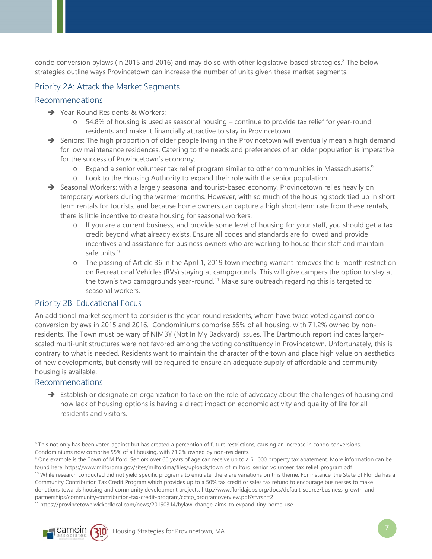condo conversion bylaws (in 2015 and 2016) and may do so with other legislative-based strategies.<sup>8</sup> The below strategies outline ways Provincetown can increase the number of units given these market segments.

# Priority 2A: Attack the Market Segments

### Recommendations

- **→** Year-Round Residents & Workers:
	- o 54.8% of housing is used as seasonal housing continue to provide tax relief for year-round residents and make it financially attractive to stay in Provincetown.
- $\rightarrow$  Seniors: The high proportion of older people living in the Provincetown will eventually mean a high demand for low maintenance residences. Catering to the needs and preferences of an older population is imperative for the success of Provincetown's economy.
	- $\circ$  Expand a senior volunteer tax relief program similar to other communities in Massachusetts.<sup>9</sup>
	- o Look to the Housing Authority to expand their role with the senior population.
- $\rightarrow$  Seasonal Workers: with a largely seasonal and tourist-based economy, Provincetown relies heavily on temporary workers during the warmer months. However, with so much of the housing stock tied up in short term rentals for tourists, and because home owners can capture a high short-term rate from these rentals, there is little incentive to create housing for seasonal workers.
	- If you are a current business, and provide some level of housing for your staff, you should get a tax credit beyond what already exists. Ensure all codes and standards are followed and provide incentives and assistance for business owners who are working to house their staff and maintain safe units.<sup>10</sup>
	- o The passing of Article 36 in the April 1, 2019 town meeting warrant removes the 6-month restriction on Recreational Vehicles (RVs) staying at campgrounds. This will give campers the option to stay at the town's two campgrounds year-round.11 Make sure outreach regarding this is targeted to seasonal workers.

### Priority 2B: Educational Focus

An additional market segment to consider is the year-round residents, whom have twice voted against condo conversion bylaws in 2015 and 2016. Condominiums comprise 55% of all housing, with 71.2% owned by nonresidents. The Town must be wary of NIMBY (Not In My Backyard) issues. The Dartmouth report indicates largerscaled multi-unit structures were not favored among the voting constituency in Provincetown. Unfortunately, this is contrary to what is needed. Residents want to maintain the character of the town and place high value on aesthetics of new developments, but density will be required to ensure an adequate supply of affordable and community housing is available.

### Recommendations

 $\overline{a}$ 

 $\rightarrow$  Establish or designate an organization to take on the role of advocacy about the challenges of housing and how lack of housing options is having a direct impact on economic activity and quality of life for all residents and visitors.

Community Contribution Tax Credit Program which provides up to a 50% tax credit or sales tax refund to encourage businesses to make

donations towards housing and community development projects. http://www.floridajobs.org/docs/default-source/business-growth-and-

partnerships/community-contribution-tax-credit-program/cctcp\_programoverview.pdf?sfvrsn=2<br><sup>11</sup> https://provincetown.wickedlocal.com/news/20190314/bylaw-change-aims-to-expand-tiny-home-use



<sup>&</sup>lt;sup>8</sup> This not only has been voted against but has created a perception of future restrictions, causing an increase in condo conversions. Condominiums now comprise 55% of all housing, with 71.2% owned by non-residents.

<sup>&</sup>lt;sup>9</sup> One example is the Town of Milford. Seniors over 60 years of age can receive up to a \$1,000 property tax abatement. More information can be found here: https://www.milfordma.gov/sites/milfordma/files/uploads/town\_of\_milford\_senior\_volunteer\_tax\_relief\_program.pdf<br><sup>10</sup> While research conducted did not yield specific programs to emulate, there are variations on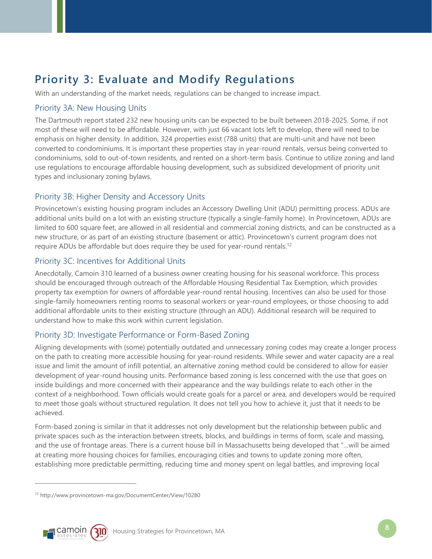# **Priority 3: Evaluate and Modify Regulations**

With an understanding of the market needs, regulations can be changed to increase impact.

# Priority 3A: New Housing Units

The Dartmouth report stated 232 new housing units can be expected to be built between 2018-2025. Some, if not most of these will need to be affordable. However, with just 66 vacant lots left to develop, there will need to be emphasis on higher density. In addition, 324 properties exist (788 units) that are multi-unit and have not been converted to condominiums. It is important these properties stay in year-round rentals, versus being converted to condominiums, sold to out-of-town residents, and rented on a short-term basis. Continue to utilize zoning and land use regulations to encourage affordable housing development, such as subsidized development of priority unit types and inclusionary zoning bylaws.

# Priority 3B: Higher Density and Accessory Units

Provincetown's existing housing program includes an Accessory Dwelling Unit (ADU) permitting process. ADUs are additional units build on a lot with an existing structure (typically a single-family home). In Provincetown, ADUs are limited to 600 square feet, are allowed in all residential and commercial zoning districts, and can be constructed as a new structure, or as part of an existing structure (basement or attic). Provincetown's current program does not require ADUs be affordable but does require they be used for year-round rentals.<sup>12</sup>

# Priority 3C: Incentives for Additional Units

Anecdotally, Camoin 310 learned of a business owner creating housing for his seasonal workforce. This process should be encouraged through outreach of the Affordable Housing Residential Tax Exemption, which provides property tax exemption for owners of affordable year-round rental housing. Incentives can also be used for those single-family homeowners renting rooms to seasonal workers or year-round employees, or those choosing to add additional affordable units to their existing structure (through an ADU). Additional research will be required to understand how to make this work within current legislation.

# Priority 3D: Investigate Performance or Form-Based Zoning

Aligning developments with (some) potentially outdated and unnecessary zoning codes may create a longer process on the path to creating more accessible housing for year-round residents. While sewer and water capacity are a real issue and limit the amount of infill potential, an alternative zoning method could be considered to allow for easier development of year-round housing units. Performance based zoning is less concerned with the use that goes on inside buildings and more concerned with their appearance and the way buildings relate to each other in the context of a neighborhood. Town officials would create goals for a parcel or area, and developers would be required to meet those goals without structured regulation. It does not tell you how to achieve it, just that it needs to be achieved.

Form-based zoning is similar in that it addresses not only development but the relationship between public and private spaces such as the interaction between streets, blocks, and buildings in terms of form, scale and massing, and the use of frontage areas. There is a current house bill in Massachusetts being developed that "…will be aimed at creating more housing choices for families, encouraging cities and towns to update zoning more often, establishing more predictable permitting, reducing time and money spent on legal battles, and improving local

<sup>12</sup> http://www.provincetown-ma.gov/DocumentCenter/View/10280



 $\overline{a}$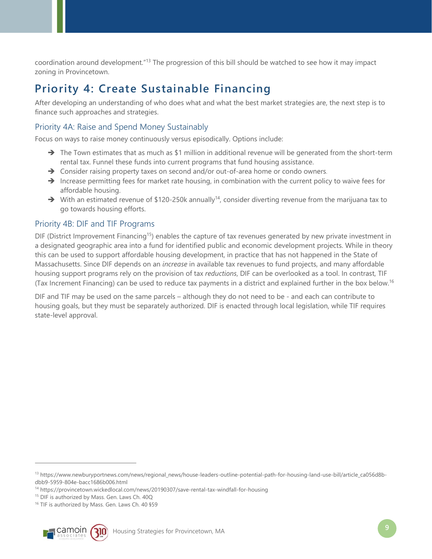coordination around development."13 The progression of this bill should be watched to see how it may impact zoning in Provincetown.

# **Priority 4: Create Sustainable Financing**

After developing an understanding of who does what and what the best market strategies are, the next step is to finance such approaches and strategies.

# Priority 4A: Raise and Spend Money Sustainably

Focus on ways to raise money continuously versus episodically. Options include:

- $\rightarrow$  The Town estimates that as much as \$1 million in additional revenue will be generated from the short-term rental tax. Funnel these funds into current programs that fund housing assistance.
- → Consider raising property taxes on second and/or out-of-area home or condo owners.
- Increase permitting fees for market rate housing, in combination with the current policy to waive fees for affordable housing.
- $\rightarrow$  With an estimated revenue of \$120-250k annually<sup>14</sup>, consider diverting revenue from the marijuana tax to go towards housing efforts.

# Priority 4B: DIF and TIF Programs

DIF (District Improvement Financing<sup>15</sup>) enables the capture of tax revenues generated by new private investment in a designated geographic area into a fund for identified public and economic development projects. While in theory this can be used to support affordable housing development, in practice that has not happened in the State of Massachusetts. Since DIF depends on an *increase* in available tax revenues to fund projects, and many affordable housing support programs rely on the provision of tax *reductions*, DIF can be overlooked as a tool. In contrast, TIF (Tax Increment Financing) can be used to reduce tax payments in a district and explained further in the box below.16

DIF and TIF may be used on the same parcels – although they do not need to be - and each can contribute to housing goals, but they must be separately authorized. DIF is enacted through local legislation, while TIF requires state-level approval.

<sup>&</sup>lt;sup>16</sup> TIF is authorized by Mass. Gen. Laws Ch. 40 §59



-

<sup>13</sup> https://www.newburyportnews.com/news/regional\_news/house-leaders-outline-potential-path-for-housing-land-use-bill/article\_ca056d8bdbb9-5959-804e-bacc1686b006.html

<sup>&</sup>lt;sup>14</sup> https://provincetown.wickedlocal.com/news/20190307/save-rental-tax-windfall-for-housing <sup>15</sup> DIF is authorized by Mass. Gen. Laws Ch. 40Q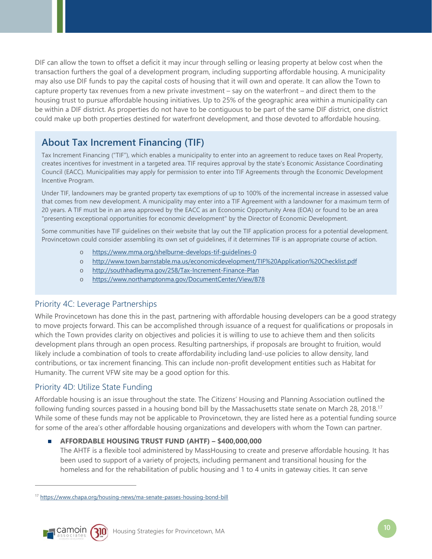DIF can allow the town to offset a deficit it may incur through selling or leasing property at below cost when the transaction furthers the goal of a development program, including supporting affordable housing. A municipality may also use DIF funds to pay the capital costs of housing that it will own and operate. It can allow the Town to capture property tax revenues from a new private investment – say on the waterfront – and direct them to the housing trust to pursue affordable housing initiatives. Up to 25% of the geographic area within a municipality can be within a DIF district. As properties do not have to be contiguous to be part of the same DIF district, one district could make up both properties destined for waterfront development, and those devoted to affordable housing.

# **About Tax Increment Financing (TIF)**

Tax Increment Financing ("TIF"), which enables a municipality to enter into an agreement to reduce taxes on Real Property, creates incentives for investment in a targeted area. TIF requires approval by the state's Economic Assistance Coordinating Council (EACC). Municipalities may apply for permission to enter into TIF Agreements through the Economic Development Incentive Program.

Under TIF, landowners may be granted property tax exemptions of up to 100% of the incremental increase in assessed value that comes from new development. A municipality may enter into a TIF Agreement with a landowner for a maximum term of 20 years. A TIF must be in an area approved by the EACC as an Economic Opportunity Area (EOA) or found to be an area "presenting exceptional opportunities for economic development" by the Director of Economic Development.

Some communities have TIF guidelines on their website that lay out the TIF application process for a potential development. Provincetown could consider assembling its own set of guidelines, if it determines TIF is an appropriate course of action.

- o https://www.mma.org/shelburne-develops-tif-guidelines-0
- o http://www.town.barnstable.ma.us/economicdevelopment/TIF%20Application%20Checklist.pdf
- o http://southhadleyma.gov/258/Tax-Increment-Finance-Plan
- o https://www.northamptonma.gov/DocumentCenter/View/878

# Priority 4C: Leverage Partnerships

While Provincetown has done this in the past, partnering with affordable housing developers can be a good strategy to move projects forward. This can be accomplished through issuance of a request for qualifications or proposals in which the Town provides clarity on objectives and policies it is willing to use to achieve them and then solicits development plans through an open process. Resulting partnerships, if proposals are brought to fruition, would likely include a combination of tools to create affordability including land-use policies to allow density, land contributions, or tax increment financing. This can include non-profit development entities such as Habitat for Humanity. The current VFW site may be a good option for this.

# Priority 4D: Utilize State Funding

Affordable housing is an issue throughout the state. The Citizens' Housing and Planning Association outlined the following funding sources passed in a housing bond bill by the Massachusetts state senate on March 28, 2018.17 While some of these funds may not be applicable to Provincetown, they are listed here as a potential funding source for some of the area's other affordable housing organizations and developers with whom the Town can partner.

### **AFFORDABLE HOUSING TRUST FUND (AHTF) – \$400,000,000**

The AHTF is a flexible tool administered by MassHousing to create and preserve affordable housing. It has been used to support of a variety of projects, including permanent and transitional housing for the homeless and for the rehabilitation of public housing and 1 to 4 units in gateway cities. It can serve

<sup>17</sup> https://www.chapa.org/housing-news/ma-senate-passes-housing-bond-bill



-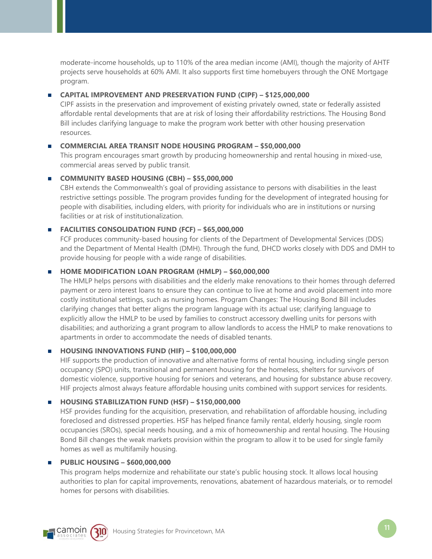moderate-income households, up to 110% of the area median income (AMI), though the majority of AHTF projects serve households at 60% AMI. It also supports first time homebuyers through the ONE Mortgage program.

### **CAPITAL IMPROVEMENT AND PRESERVATION FUND (CIPF) – \$125,000,000**

CIPF assists in the preservation and improvement of existing privately owned, state or federally assisted affordable rental developments that are at risk of losing their affordability restrictions. The Housing Bond Bill includes clarifying language to make the program work better with other housing preservation resources.

#### **COMMERCIAL AREA TRANSIT NODE HOUSING PROGRAM – \$50,000,000**

This program encourages smart growth by producing homeownership and rental housing in mixed-use, commercial areas served by public transit.

#### **COMMUNITY BASED HOUSING (CBH) – \$55,000,000**

CBH extends the Commonwealth's goal of providing assistance to persons with disabilities in the least restrictive settings possible. The program provides funding for the development of integrated housing for people with disabilities, including elders, with priority for individuals who are in institutions or nursing facilities or at risk of institutionalization.

#### **FACILITIES CONSOLIDATION FUND (FCF) – \$65,000,000**

FCF produces community-based housing for clients of the Department of Developmental Services (DDS) and the Department of Mental Health (DMH). Through the fund, DHCD works closely with DDS and DMH to provide housing for people with a wide range of disabilities.

#### **HOME MODIFICATION LOAN PROGRAM (HMLP) - \$60,000,000**

The HMLP helps persons with disabilities and the elderly make renovations to their homes through deferred payment or zero interest loans to ensure they can continue to live at home and avoid placement into more costly institutional settings, such as nursing homes. Program Changes: The Housing Bond Bill includes clarifying changes that better aligns the program language with its actual use; clarifying language to explicitly allow the HMLP to be used by families to construct accessory dwelling units for persons with disabilities; and authorizing a grant program to allow landlords to access the HMLP to make renovations to apartments in order to accommodate the needs of disabled tenants.

#### **HOUSING INNOVATIONS FUND (HIF) – \$100,000,000**

HIF supports the production of innovative and alternative forms of rental housing, including single person occupancy (SPO) units, transitional and permanent housing for the homeless, shelters for survivors of domestic violence, supportive housing for seniors and veterans, and housing for substance abuse recovery. HIF projects almost always feature affordable housing units combined with support services for residents.

### **HOUSING STABILIZATION FUND (HSF) - \$150,000,000**

HSF provides funding for the acquisition, preservation, and rehabilitation of affordable housing, including foreclosed and distressed properties. HSF has helped finance family rental, elderly housing, single room occupancies (SROs), special needs housing, and a mix of homeownership and rental housing. The Housing Bond Bill changes the weak markets provision within the program to allow it to be used for single family homes as well as multifamily housing.

### **PUBLIC HOUSING – \$600,000,000**

This program helps modernize and rehabilitate our state's public housing stock. It allows local housing authorities to plan for capital improvements, renovations, abatement of hazardous materials, or to remodel homes for persons with disabilities.

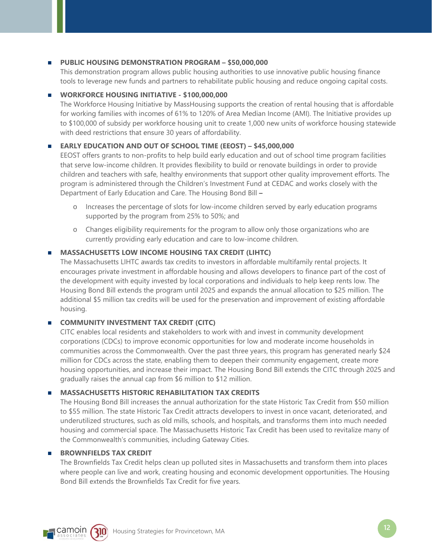#### **PUBLIC HOUSING DEMONSTRATION PROGRAM - \$50,000,000**

This demonstration program allows public housing authorities to use innovative public housing finance tools to leverage new funds and partners to rehabilitate public housing and reduce ongoing capital costs.

#### **WORKFORCE HOUSING INITIATIVE - \$100,000,000**

The Workforce Housing Initiative by MassHousing supports the creation of rental housing that is affordable for working families with incomes of 61% to 120% of Area Median Income (AMI). The Initiative provides up to \$100,000 of subsidy per workforce housing unit to create 1,000 new units of workforce housing statewide with deed restrictions that ensure 30 years of affordability.

#### **EARLY EDUCATION AND OUT OF SCHOOL TIME (EEOST) – \$45,000,000**

EEOST offers grants to non-profits to help build early education and out of school time program facilities that serve low-income children. It provides flexibility to build or renovate buildings in order to provide children and teachers with safe, healthy environments that support other quality improvement efforts. The program is administered through the Children's Investment Fund at CEDAC and works closely with the Department of Early Education and Care. The Housing Bond Bill **–**

- o Increases the percentage of slots for low-income children served by early education programs supported by the program from 25% to 50%; and
- o Changes eligibility requirements for the program to allow only those organizations who are currently providing early education and care to low-income children.

#### **MASSACHUSETTS LOW INCOME HOUSING TAX CREDIT (LIHTC)**

The Massachusetts LIHTC awards tax credits to investors in affordable multifamily rental projects. It encourages private investment in affordable housing and allows developers to finance part of the cost of the development with equity invested by local corporations and individuals to help keep rents low. The Housing Bond Bill extends the program until 2025 and expands the annual allocation to \$25 million. The additional \$5 million tax credits will be used for the preservation and improvement of existing affordable housing.

#### **COMMUNITY INVESTMENT TAX CREDIT (CITC)**

CITC enables local residents and stakeholders to work with and invest in community development corporations (CDCs) to improve economic opportunities for low and moderate income households in communities across the Commonwealth. Over the past three years, this program has generated nearly \$24 million for CDCs across the state, enabling them to deepen their community engagement, create more housing opportunities, and increase their impact. The Housing Bond Bill extends the CITC through 2025 and gradually raises the annual cap from \$6 million to \$12 million.

#### **MASSACHUSETTS HISTORIC REHABILITATION TAX CREDITS**

The Housing Bond Bill increases the annual authorization for the state Historic Tax Credit from \$50 million to \$55 million. The state Historic Tax Credit attracts developers to invest in once vacant, deteriorated, and underutilized structures, such as old mills, schools, and hospitals, and transforms them into much needed housing and commercial space. The Massachusetts Historic Tax Credit has been used to revitalize many of the Commonwealth's communities, including Gateway Cities.

#### **BROWNFIELDS TAX CREDIT**

The Brownfields Tax Credit helps clean up polluted sites in Massachusetts and transform them into places where people can live and work, creating housing and economic development opportunities. The Housing Bond Bill extends the Brownfields Tax Credit for five years.

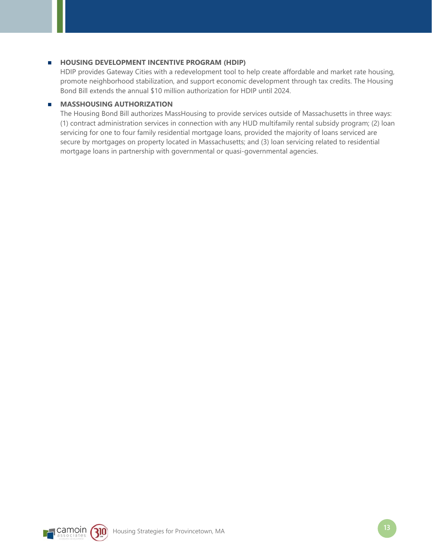#### **HOUSING DEVELOPMENT INCENTIVE PROGRAM (HDIP)**

HDIP provides Gateway Cities with a redevelopment tool to help create affordable and market rate housing, promote neighborhood stabilization, and support economic development through tax credits. The Housing Bond Bill extends the annual \$10 million authorization for HDIP until 2024.

#### **MASSHOUSING AUTHORIZATION**

The Housing Bond Bill authorizes MassHousing to provide services outside of Massachusetts in three ways: (1) contract administration services in connection with any HUD multifamily rental subsidy program; (2) loan servicing for one to four family residential mortgage loans, provided the majority of loans serviced are secure by mortgages on property located in Massachusetts; and (3) loan servicing related to residential mortgage loans in partnership with governmental or quasi-governmental agencies.